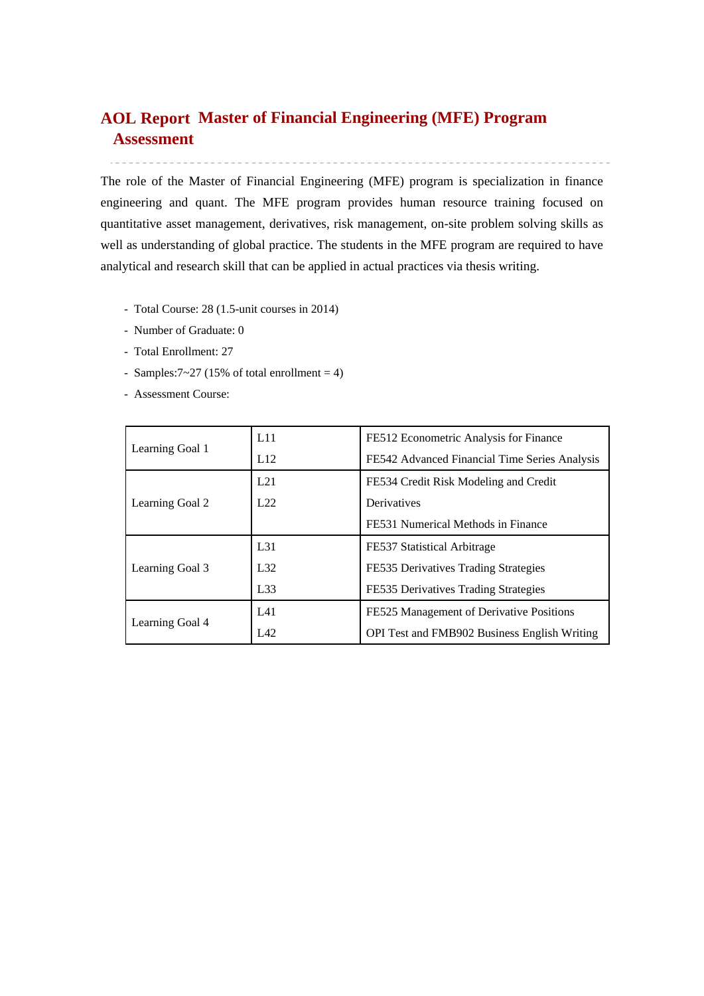# **Master of Financial Engineering (MFE) Program AOL ReportAssessment**

The role of the Master of Financial Engineering (MFE) program is specialization in finance engineering and quant. The MFE program provides human resource training focused on quantitative asset management, derivatives, risk management, on-site problem solving skills as well as understanding of global practice. The students in the MFE program are required to have analytical and research skill that can be applied in actual practices via thesis writing.

- Total Course: 28 (1.5-unit courses in 2014)
- Number of Graduate: 0
- Total Enrollment: 27
- Samples: $7 \sim 27$  (15% of total enrollment = 4)
- Assessment Course:

|                 | L11             | FE512 Econometric Analysis for Finance              |  |  |  |  |
|-----------------|-----------------|-----------------------------------------------------|--|--|--|--|
| Learning Goal 1 | L12             | FE542 Advanced Financial Time Series Analysis       |  |  |  |  |
|                 | L21             | FE534 Credit Risk Modeling and Credit               |  |  |  |  |
| Learning Goal 2 | L22             | Derivatives                                         |  |  |  |  |
|                 |                 | FE531 Numerical Methods in Finance                  |  |  |  |  |
|                 | L <sub>31</sub> | FE537 Statistical Arbitrage                         |  |  |  |  |
| Learning Goal 3 | L32             | FE535 Derivatives Trading Strategies                |  |  |  |  |
|                 | L33             | FE535 Derivatives Trading Strategies                |  |  |  |  |
|                 | L41             | FE525 Management of Derivative Positions            |  |  |  |  |
| Learning Goal 4 | L42             | <b>OPI Test and FMB902 Business English Writing</b> |  |  |  |  |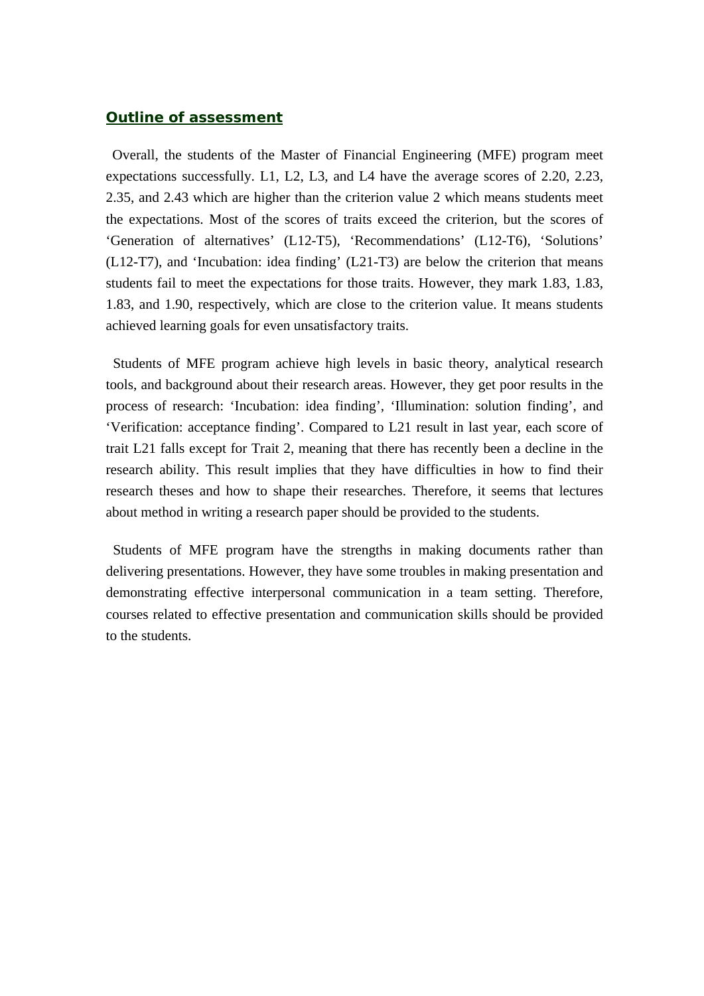### *Outline of assessment*

Overall, the students of the Master of Financial Engineering (MFE) program meet expectations successfully. L1, L2, L3, and L4 have the average scores of 2.20, 2.23, 2.35, and 2.43 which are higher than the criterion value 2 which means students meet the expectations. Most of the scores of traits exceed the criterion, but the scores of 'Generation of alternatives' (L12-T5), 'Recommendations' (L12-T6), 'Solutions' (L12-T7), and 'Incubation: idea finding' (L21-T3) are below the criterion that means students fail to meet the expectations for those traits. However, they mark 1.83, 1.83, 1.83, and 1.90, respectively, which are close to the criterion value. It means students achieved learning goals for even unsatisfactory traits.

 Students of MFE program achieve high levels in basic theory, analytical research tools, and background about their research areas. However, they get poor results in the process of research: 'Incubation: idea finding', 'Illumination: solution finding', and 'Verification: acceptance finding'. Compared to L21 result in last year, each score of trait L21 falls except for Trait 2, meaning that there has recently been a decline in the research ability. This result implies that they have difficulties in how to find their research theses and how to shape their researches. Therefore, it seems that lectures about method in writing a research paper should be provided to the students.

Students of MFE program have the strengths in making documents rather than delivering presentations. However, they have some troubles in making presentation and demonstrating effective interpersonal communication in a team setting. Therefore, courses related to effective presentation and communication skills should be provided to the students.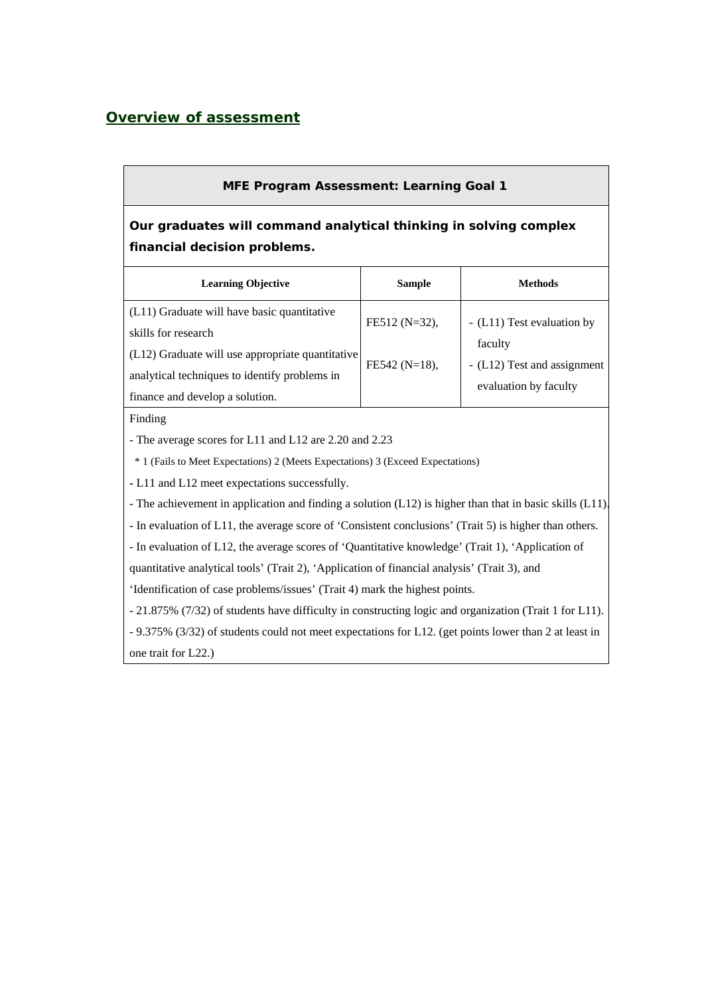## *Overview of assessment*

### **MFE Program Assessment: Learning Goal 1**

# **Our graduates will command analytical thinking in solving complex financial decision problems.**

| <b>Learning Objective</b>                                                                                                                                                                                  | <b>Sample</b>                    | <b>Methods</b>                                                                                |  |  |  |  |  |
|------------------------------------------------------------------------------------------------------------------------------------------------------------------------------------------------------------|----------------------------------|-----------------------------------------------------------------------------------------------|--|--|--|--|--|
| (L11) Graduate will have basic quantitative<br>skills for research<br>(L12) Graduate will use appropriate quantitative<br>analytical techniques to identify problems in<br>finance and develop a solution. | FE512 (N=32),<br>$FE542 (N=18),$ | - (L11) Test evaluation by<br>faculty<br>- (L12) Test and assignment<br>evaluation by faculty |  |  |  |  |  |

#### Finding

- The average scores for L11 and L12 are 2.20 and 2.23

\* 1 (Fails to Meet Expectations) 2 (Meets Expectations) 3 (Exceed Expectations)

**-** L11 and L12 meet expectations successfully.

- The achievement in application and finding a solution (L12) is higher than that in basic skills (L11).

- In evaluation of L11, the average score of 'Consistent conclusions' (Trait 5) is higher than others.

- In evaluation of L12, the average scores of 'Quantitative knowledge' (Trait 1), 'Application of

quantitative analytical tools' (Trait 2), 'Application of financial analysis' (Trait 3), and

'Identification of case problems/issues' (Trait 4) mark the highest points.

- 21.875% (7/32) of students have difficulty in constructing logic and organization (Trait 1 for L11).

- 9.375% (3/32) of students could not meet expectations for L12. (get points lower than 2 at least in one trait for L22.)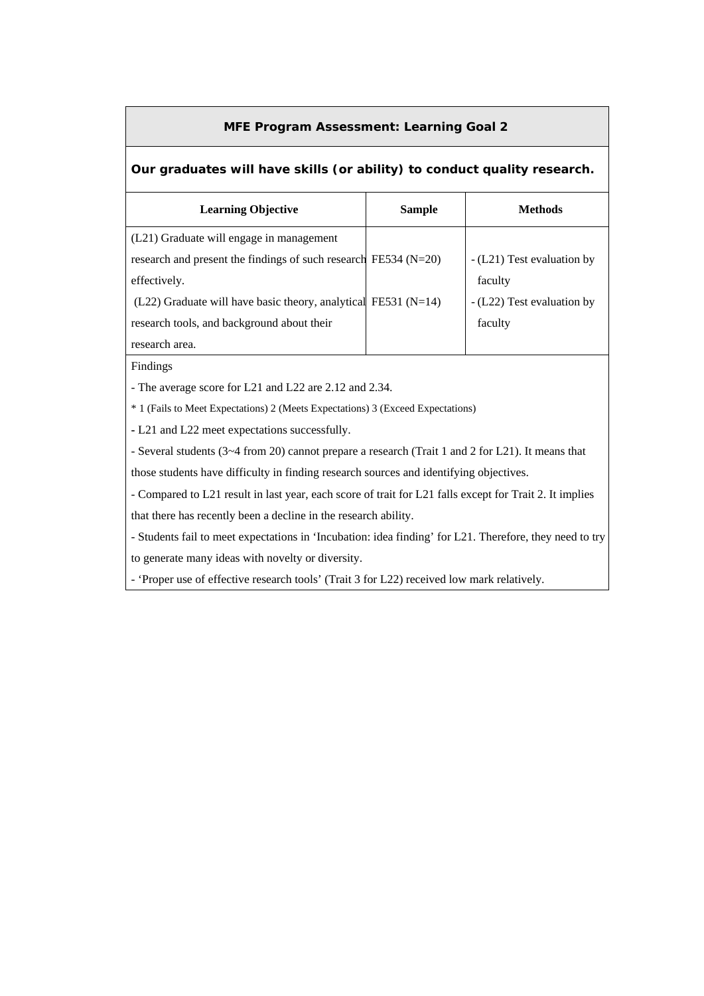#### **MFE Program Assessment: Learning Goal 2**

#### **Our graduates will have skills (or ability) to conduct quality research.**

| <b>Learning Objective</b>                                           | <b>Sample</b> | <b>Methods</b>             |
|---------------------------------------------------------------------|---------------|----------------------------|
| (L21) Graduate will engage in management                            |               |                            |
| research and present the findings of such research FE534 ( $N=20$ ) |               | - (L21) Test evaluation by |
| effectively.                                                        |               | faculty                    |
| $(L22)$ Graduate will have basic theory, analytical FE531 (N=14)    |               | - (L22) Test evaluation by |
| research tools, and background about their                          |               | faculty                    |
| research area.                                                      |               |                            |

Findings

- The average score for L21 and L22 are 2.12 and 2.34.

\* 1 (Fails to Meet Expectations) 2 (Meets Expectations) 3 (Exceed Expectations)

**-** L21 and L22 meet expectations successfully.

- Several students (3~4 from 20) cannot prepare a research (Trait 1 and 2 for L21). It means that those students have difficulty in finding research sources and identifying objectives.

- Compared to L21 result in last year, each score of trait for L21 falls except for Trait 2. It implies

that there has recently been a decline in the research ability.

- Students fail to meet expectations in 'Incubation: idea finding' for L21. Therefore, they need to try to generate many ideas with novelty or diversity.

- 'Proper use of effective research tools' (Trait 3 for L22) received low mark relatively.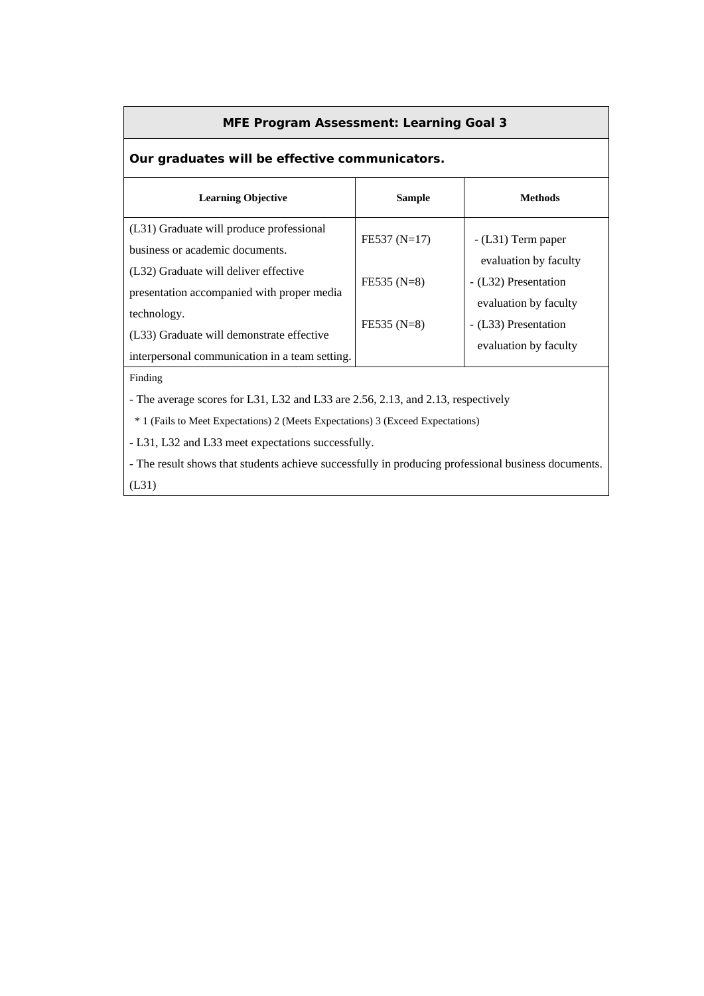#### **MFE Program Assessment: Learning Goal 3**

## **Our graduates will be effective communicators.**

| <b>Learning Objective</b>                                                                                  | <b>Sample</b>  | Methods                                       |
|------------------------------------------------------------------------------------------------------------|----------------|-----------------------------------------------|
| (L31) Graduate will produce professional<br>business or academic documents.                                | $FE537 (N=17)$ | $-L31$ ) Term paper<br>evaluation by faculty  |
| (L32) Graduate will deliver effective<br>presentation accompanied with proper media                        | $FE535(N=8)$   | - (L32) Presentation<br>evaluation by faculty |
| technology.<br>(L33) Graduate will demonstrate effective<br>interpersonal communication in a team setting. | $FE535 (N=8)$  | - (L33) Presentation<br>evaluation by faculty |

Finding

- The average scores for L31, L32 and L33 are 2.56, 2.13, and 2.13, respectively

\* 1 (Fails to Meet Expectations) 2 (Meets Expectations) 3 (Exceed Expectations)

**-** L31, L32 and L33 meet expectations successfully.

- The result shows that students achieve successfully in producing professional business documents. (L31)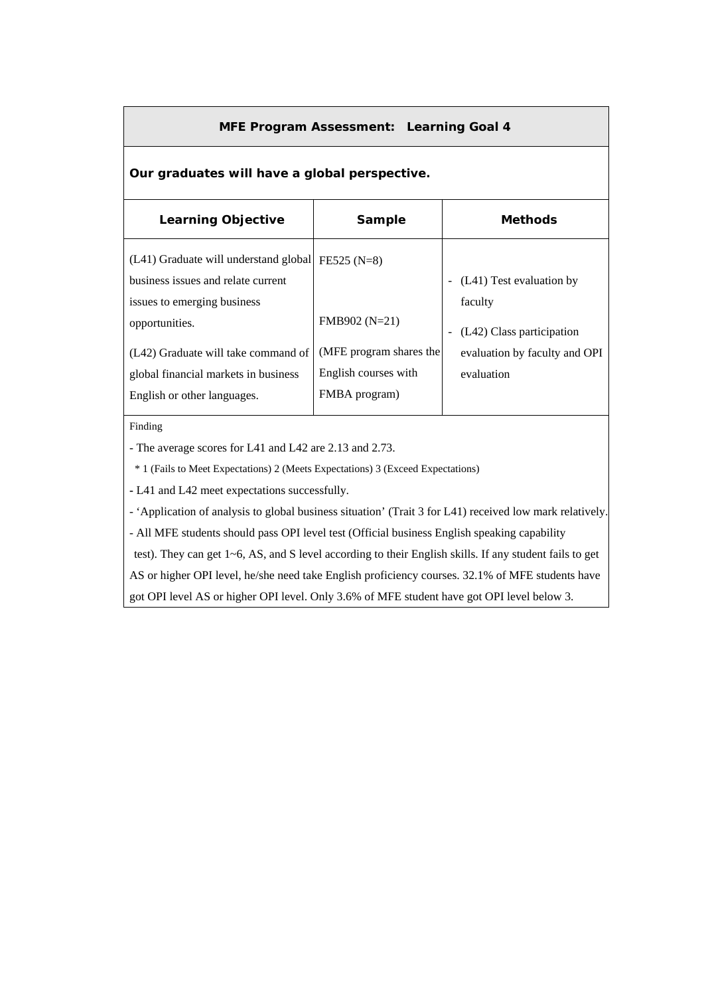#### **MFE Program Assessment: Learning Goal 4**

#### **Our graduates will have a global perspective.**

| <b>Learning Objective</b>                                                                                  | Sample                                                           | <b>Methods</b>                              |  |  |  |  |  |
|------------------------------------------------------------------------------------------------------------|------------------------------------------------------------------|---------------------------------------------|--|--|--|--|--|
| (L41) Graduate will understand global<br>business issues and relate current<br>issues to emerging business | $FE525 (N=8)$                                                    | (L41) Test evaluation by<br>faculty         |  |  |  |  |  |
| opportunities.                                                                                             | FMB902 (N=21)                                                    | (L42) Class participation                   |  |  |  |  |  |
| (L42) Graduate will take command of<br>global financial markets in business<br>English or other languages. | (MFE program shares the<br>English courses with<br>FMBA program) | evaluation by faculty and OPI<br>evaluation |  |  |  |  |  |

Finding

- The average scores for L41 and L42 are 2.13 and 2.73.

\* 1 (Fails to Meet Expectations) 2 (Meets Expectations) 3 (Exceed Expectations)

**-** L41 and L42 meet expectations successfully.

- 'Application of analysis to global business situation' (Trait 3 for L41) received low mark relatively.

- All MFE students should pass OPI level test (Official business English speaking capability

test). They can get 1~6, AS, and S level according to their English skills. If any student fails to get

AS or higher OPI level, he/she need take English proficiency courses. 32.1% of MFE students have

got OPI level AS or higher OPI level. Only 3.6% of MFE student have got OPI level below 3.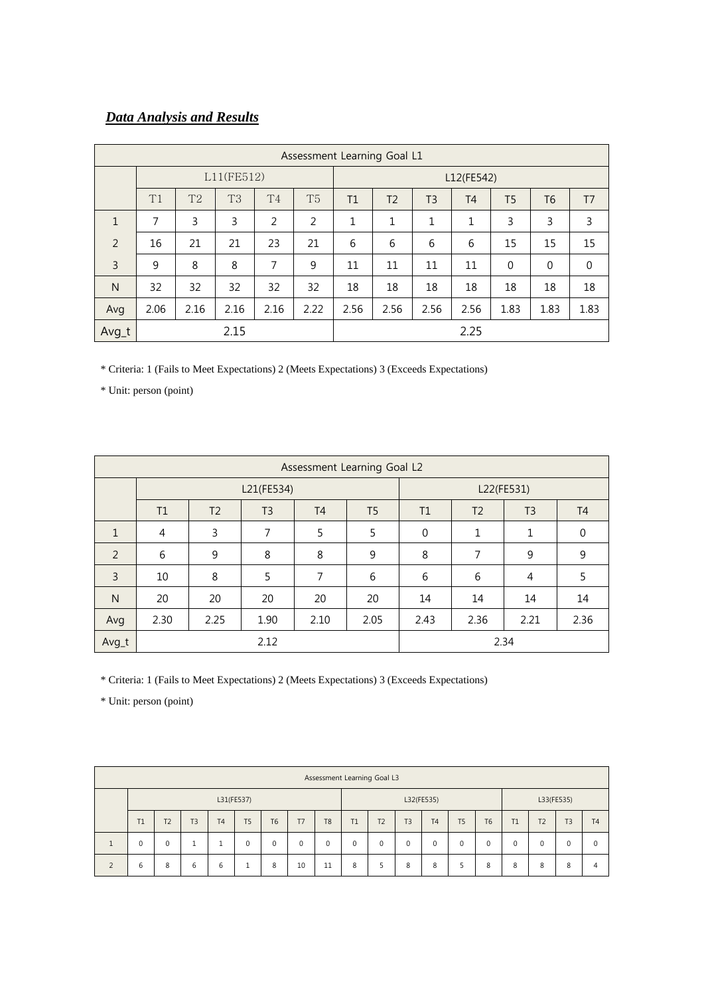# *Data Analysis and Results*

|              | Assessment Learning Goal L1 |                |           |                |                |      |                |                |                |                |                |                |  |
|--------------|-----------------------------|----------------|-----------|----------------|----------------|------|----------------|----------------|----------------|----------------|----------------|----------------|--|
|              | L11(FE512)                  |                |           |                |                |      | L12(FE542)     |                |                |                |                |                |  |
|              | T1                          | T <sub>2</sub> | <b>T3</b> | T <sub>4</sub> | T <sub>5</sub> | T1   | T <sub>2</sub> | T <sub>3</sub> | T <sub>4</sub> | T <sub>5</sub> | T <sub>6</sub> | T <sub>7</sub> |  |
| $\mathbf{1}$ | 7                           | 3              | 3         | 2              | 2              | 1    | 1              | 1              | 1              | 3              | 3              | 3              |  |
| 2            | 16                          | 21             | 21        | 23             | 21             | 6    | 6              | 6              | 6              | 15             | 15             | 15             |  |
| 3            | 9                           | 8              | 8         | 7              | 9              | 11   | 11             | 11             | 11             | $\mathbf{0}$   | $\mathbf 0$    | $\mathbf 0$    |  |
| N            | 32                          | 32             | 32        | 32             | 32             | 18   | 18             | 18             | 18             | 18             | 18             | 18             |  |
| Avg          | 2.06                        | 2.16           | 2.16      | 2.16           | 2.22           | 2.56 | 2.56           | 2.56           | 2.56           | 1.83           | 1.83           | 1.83           |  |
| Avg_t        |                             |                | 2.15      |                |                |      | 2.25           |                |                |                |                |                |  |

\* Criteria: 1 (Fails to Meet Expectations) 2 (Meets Expectations) 3 (Exceeds Expectations)

\* Unit: person (point)

|                | Assessment Learning Goal L2 |                |                |                |                |             |                |                |                |  |  |  |
|----------------|-----------------------------|----------------|----------------|----------------|----------------|-------------|----------------|----------------|----------------|--|--|--|
|                |                             |                | L21(FE534)     |                | L22(FE531)     |             |                |                |                |  |  |  |
|                | T1                          | T <sub>2</sub> | T <sub>3</sub> | T <sub>4</sub> | T <sub>5</sub> | T1          | T <sub>2</sub> | T <sub>3</sub> | T <sub>4</sub> |  |  |  |
| $\mathbf{1}$   | 4                           | 3              | 7              | 5              | 5              | $\mathbf 0$ | 1              | 1              | $\Omega$       |  |  |  |
| 2              | 6                           | 9              | 8              | 8              | 9              | 8           | 7              | 9              | 9              |  |  |  |
| $\overline{3}$ | 10                          | 8              | 5              | 7              | 6              | 6           | 6              | 4              | 5              |  |  |  |
| $\mathsf{N}$   | 20                          | 20             | 20             | 20             | 20             | 14          | 14             | 14             | 14             |  |  |  |
| Avg            | 2.30                        | 2.25           | 1.90           | 2.10           | 2.05           | 2.43        | 2.36           | 2.21           | 2.36           |  |  |  |
| Avg_t          |                             |                | 2.12           |                | 2.34           |             |                |                |                |  |  |  |

\* Criteria: 1 (Fails to Meet Expectations) 2 (Meets Expectations) 3 (Exceeds Expectations)

\* Unit: person (point)

| Assessment Learning Goal L3 |                |                |                |                |           |             |                |    |                |                |           |                |                |    |                |               |                |
|-----------------------------|----------------|----------------|----------------|----------------|-----------|-------------|----------------|----|----------------|----------------|-----------|----------------|----------------|----|----------------|---------------|----------------|
| L31(FE537)                  |                |                |                |                |           | L32(FE535)  |                |    |                | L33(FE535)     |           |                |                |    |                |               |                |
| T1                          | T <sub>2</sub> | T <sub>3</sub> | T <sub>4</sub> | T <sub>5</sub> | <b>T6</b> | T7          | T <sub>8</sub> | T1 | T <sub>2</sub> | T <sub>3</sub> | <b>T4</b> | T <sub>5</sub> | T <sub>6</sub> | T1 | T <sub>2</sub> | T3            | T <sub>4</sub> |
| 0                           | 0              |                | ٠              | 0              | 0         | $\mathbf 0$ | 0              | 0  | $\Omega$       | $\Omega$       | 0         | $\Omega$       | $\Omega$       | 0  | $\Omega$       | $\mathcal{L}$ | $\Omega$       |
| b                           | 8              | 6              | 6              | J.             | 8         | 10          | 11             | 8  |                | 8              | 8         | 5              | 8              | 8  | 8              | 8             | 4              |